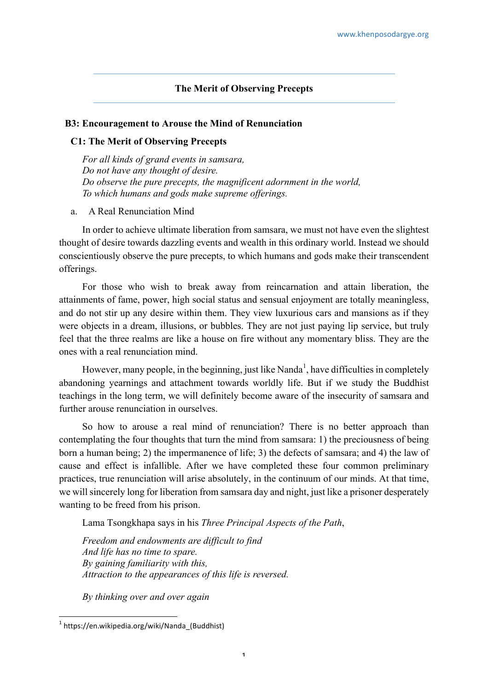# **The Merit of Observing Precepts**

#### **B3: Encouragement to Arouse the Mind of Renunciation**

### **C1: The Merit of Observing Precepts**

*For all kinds of grand events in samsara, Do not have any thought of desire. Do observe the pure precepts, the magnificent adornment in the world, To which humans and gods make supreme offerings.*

## a. A Real Renunciation Mind

In order to achieve ultimate liberation from samsara, we must not have even the slightest thought of desire towards dazzling events and wealth in this ordinary world. Instead we should conscientiously observe the pure precepts, to which humans and gods make their transcendent offerings.

For those who wish to break away from reincarnation and attain liberation, the attainments of fame, power, high social status and sensual enjoyment are totally meaningless, and do not stir up any desire within them. They view luxurious cars and mansions as if they were objects in a dream, illusions, or bubbles. They are not just paying lip service, but truly feel that the three realms are like a house on fire without any momentary bliss. They are the ones with a real renunciation mind.

However, many people, in the beginning, just like Nanda<sup>1</sup>, have difficulties in completely abandoning yearnings and attachment towards worldly life. But if we study the Buddhist teachings in the long term, we will definitely become aware of the insecurity of samsara and further arouse renunciation in ourselves.

So how to arouse a real mind of renunciation? There is no better approach than contemplating the four thoughts that turn the mind from samsara: 1) the preciousness of being born a human being; 2) the impermanence of life; 3) the defects of samsara; and 4) the law of cause and effect is infallible. After we have completed these four common preliminary practices, true renunciation will arise absolutely, in the continuum of our minds. At that time, we will sincerely long for liberation from samsara day and night, just like a prisoner desperately wanting to be freed from his prison.

Lama Tsongkhapa says in his *Three Principal Aspects of the Path*,

*Freedom and endowments are difficult to find And life has no time to spare. By gaining familiarity with this, Attraction to the appearances of this life is reversed.*

*By thinking over and over again*

 $1$  https://en.wikipedia.org/wiki/Nanda (Buddhist)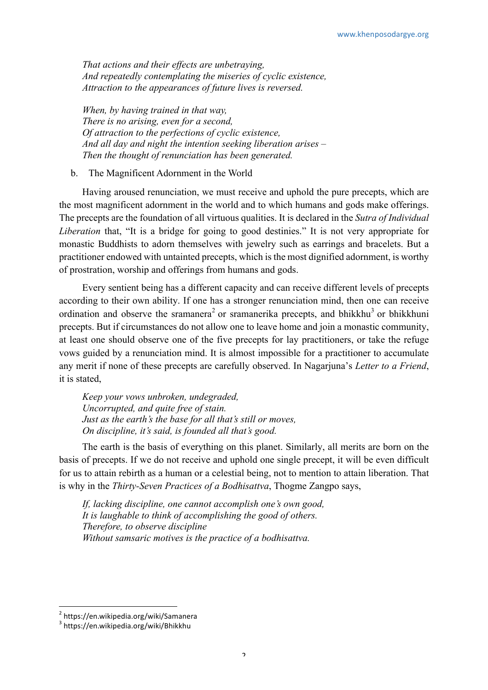*That actions and their effects are unbetraying, And repeatedly contemplating the miseries of cyclic existence, Attraction to the appearances of future lives is reversed.*

*When, by having trained in that way, There is no arising, even for a second, Of attraction to the perfections of cyclic existence, And all day and night the intention seeking liberation arises – Then the thought of renunciation has been generated.*

b. The Magnificent Adornment in the World

Having aroused renunciation, we must receive and uphold the pure precepts, which are the most magnificent adornment in the world and to which humans and gods make offerings. The precepts are the foundation of all virtuous qualities. It is declared in the *Sutra of Individual Liberation* that, "It is a bridge for going to good destinies." It is not very appropriate for monastic Buddhists to adorn themselves with jewelry such as earrings and bracelets. But a practitioner endowed with untainted precepts, which is the most dignified adornment, is worthy of prostration, worship and offerings from humans and gods.

Every sentient being has a different capacity and can receive different levels of precepts according to their own ability. If one has a stronger renunciation mind, then one can receive ordination and observe the sramanera<sup>2</sup> or sramanerika precepts, and bhikkhu<sup>3</sup> or bhikkhuni precepts. But if circumstances do not allow one to leave home and join a monastic community, at least one should observe one of the five precepts for lay practitioners, or take the refuge vows guided by a renunciation mind. It is almost impossible for a practitioner to accumulate any merit if none of these precepts are carefully observed. In Nagarjuna's *Letter to a Friend*, it is stated,

*Keep your vows unbroken, undegraded, Uncorrupted, and quite free of stain. Just as the earth's the base for all that's still or moves, On discipline, it's said, is founded all that's good.*

The earth is the basis of everything on this planet. Similarly, all merits are born on the basis of precepts. If we do not receive and uphold one single precept, it will be even difficult for us to attain rebirth as a human or a celestial being, not to mention to attain liberation. That is why in the *Thirty-Seven Practices of a Bodhisattva*, Thogme Zangpo says,

*If, lacking discipline, one cannot accomplish one's own good, It is laughable to think of accomplishing the good of others. Therefore, to observe discipline Without samsaric motives is the practice of a bodhisattva.*

 

<sup>2</sup> https://en.wikipedia.org/wiki/Samanera

<sup>3</sup> https://en.wikipedia.org/wiki/Bhikkhu